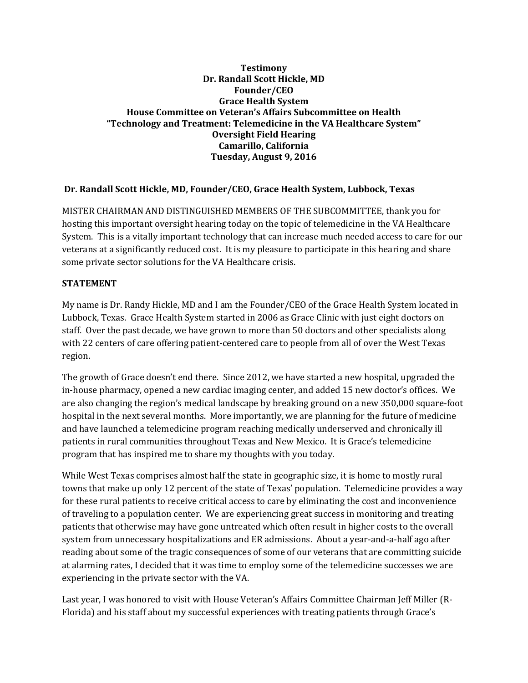## **Testimony Dr. Randall Scott Hickle, MD Founder/CEO Grace Health System House Committee on Veteran's Affairs Subcommittee on Health "Technology and Treatment: Telemedicine in the VA Healthcare System" Oversight Field Hearing Camarillo, California Tuesday, August 9, 2016**

## **Dr. Randall Scott Hickle, MD, Founder/CEO, Grace Health System, Lubbock, Texas**

MISTER CHAIRMAN AND DISTINGUISHED MEMBERS OF THE SUBCOMMITTEE, thank you for hosting this important oversight hearing today on the topic of telemedicine in the VA Healthcare System. This is a vitally important technology that can increase much needed access to care for our veterans at a significantly reduced cost. It is my pleasure to participate in this hearing and share some private sector solutions for the VA Healthcare crisis.

## **STATEMENT**

My name is Dr. Randy Hickle, MD and I am the Founder/CEO of the Grace Health System located in Lubbock, Texas. Grace Health System started in 2006 as Grace Clinic with just eight doctors on staff. Over the past decade, we have grown to more than 50 doctors and other specialists along with 22 centers of care offering patient-centered care to people from all of over the West Texas region.

The growth of Grace doesn't end there. Since 2012, we have started a new hospital, upgraded the in-house pharmacy, opened a new cardiac imaging center, and added 15 new doctor's offices. We are also changing the region's medical landscape by breaking ground on a new 350,000 square-foot hospital in the next several months. More importantly, we are planning for the future of medicine and have launched a telemedicine program reaching medically underserved and chronically ill patients in rural communities throughout Texas and New Mexico. It is Grace's telemedicine program that has inspired me to share my thoughts with you today.

While West Texas comprises almost half the state in geographic size, it is home to mostly rural towns that make up only 12 percent of the state of Texas' population. Telemedicine provides a way for these rural patients to receive critical access to care by eliminating the cost and inconvenience of traveling to a population center. We are experiencing great success in monitoring and treating patients that otherwise may have gone untreated which often result in higher costs to the overall system from unnecessary hospitalizations and ER admissions. About a year-and-a-half ago after reading about some of the tragic consequences of some of our veterans that are committing suicide at alarming rates, I decided that it was time to employ some of the telemedicine successes we are experiencing in the private sector with the VA.

Last year, I was honored to visit with House Veteran's Affairs Committee Chairman Jeff Miller (R-Florida) and his staff about my successful experiences with treating patients through Grace's